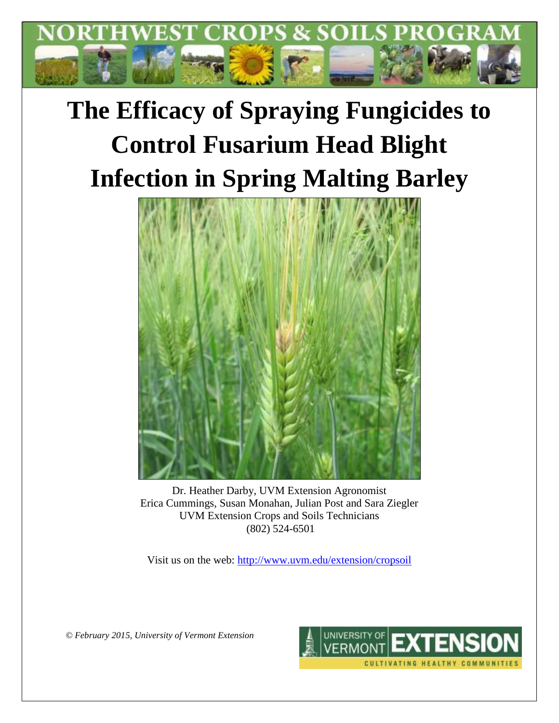

# **The Efficacy of Spraying Fungicides to Control Fusarium Head Blight Infection in Spring Malting Barley**



Dr. Heather Darby, UVM Extension Agronomist Erica Cummings, Susan Monahan, Julian Post and Sara Ziegler UVM Extension Crops and Soils Technicians (802) 524-6501

Visit us on the web:<http://www.uvm.edu/extension/cropsoil>

*© February 2015, University of Vermont Extension*

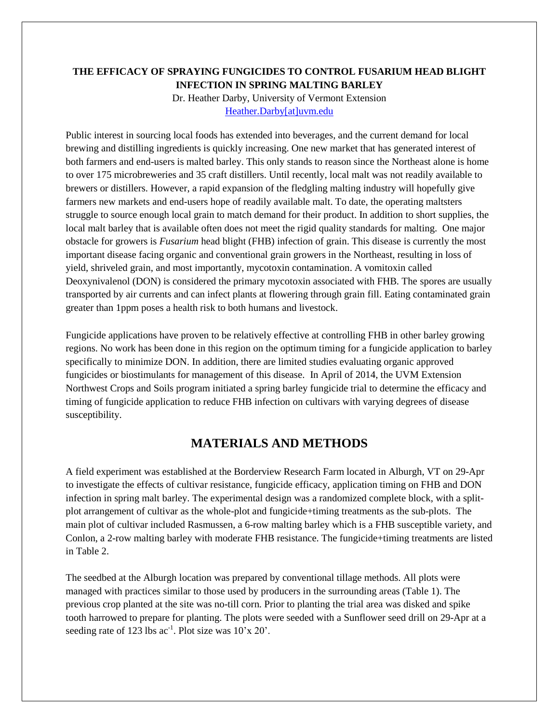#### **THE EFFICACY OF SPRAYING FUNGICIDES TO CONTROL FUSARIUM HEAD BLIGHT INFECTION IN SPRING MALTING BARLEY**

Dr. Heather Darby, University of Vermont Extension [Heather.Darby\[at\]uvm.edu](mailto:Heather.Darby@uvm.edu)

Public interest in sourcing local foods has extended into beverages, and the current demand for local brewing and distilling ingredients is quickly increasing. One new market that has generated interest of both farmers and end-users is malted barley. This only stands to reason since the Northeast alone is home to over 175 microbreweries and 35 craft distillers. Until recently, local malt was not readily available to brewers or distillers. However, a rapid expansion of the fledgling malting industry will hopefully give farmers new markets and end-users hope of readily available malt. To date, the operating maltsters struggle to source enough local grain to match demand for their product. In addition to short supplies, the local malt barley that is available often does not meet the rigid quality standards for malting. One major obstacle for growers is *Fusarium* head blight (FHB) infection of grain. This disease is currently the most important disease facing organic and conventional grain growers in the Northeast, resulting in loss of yield, shriveled grain, and most importantly, mycotoxin contamination. A vomitoxin called Deoxynivalenol (DON) is considered the primary mycotoxin associated with FHB. The spores are usually transported by air currents and can infect plants at flowering through grain fill. Eating contaminated grain greater than 1ppm poses a health risk to both humans and livestock.

Fungicide applications have proven to be relatively effective at controlling FHB in other barley growing regions. No work has been done in this region on the optimum timing for a fungicide application to barley specifically to minimize DON. In addition, there are limited studies evaluating organic approved fungicides or biostimulants for management of this disease. In April of 2014, the UVM Extension Northwest Crops and Soils program initiated a spring barley fungicide trial to determine the efficacy and timing of fungicide application to reduce FHB infection on cultivars with varying degrees of disease susceptibility.

## **MATERIALS AND METHODS**

A field experiment was established at the Borderview Research Farm located in Alburgh, VT on 29-Apr to investigate the effects of cultivar resistance, fungicide efficacy, application timing on FHB and DON infection in spring malt barley. The experimental design was a randomized complete block, with a splitplot arrangement of cultivar as the whole-plot and fungicide+timing treatments as the sub-plots. The main plot of cultivar included Rasmussen, a 6-row malting barley which is a FHB susceptible variety, and Conlon, a 2-row malting barley with moderate FHB resistance. The fungicide+timing treatments are listed in Table 2.

The seedbed at the Alburgh location was prepared by conventional tillage methods. All plots were managed with practices similar to those used by producers in the surrounding areas (Table 1). The previous crop planted at the site was no-till corn. Prior to planting the trial area was disked and spike tooth harrowed to prepare for planting. The plots were seeded with a Sunflower seed drill on 29-Apr at a seeding rate of 123 lbs  $ac^{-1}$ . Plot size was  $10'x 20'$ .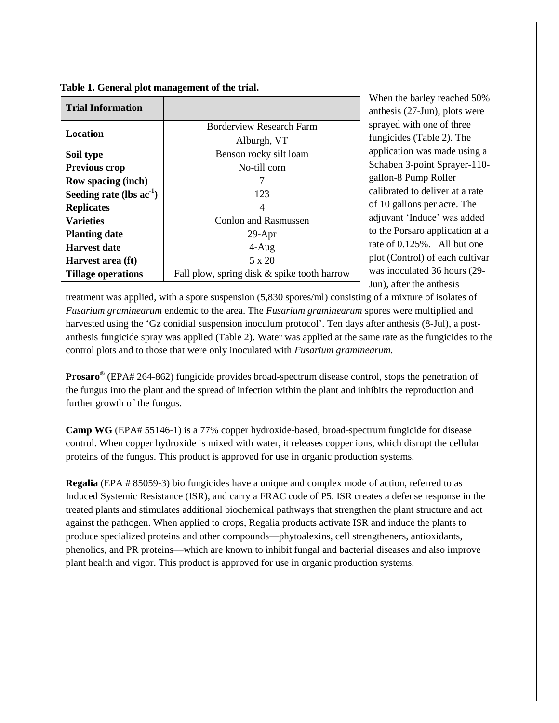| <b>Trial Information</b>   |                                             |  |  |
|----------------------------|---------------------------------------------|--|--|
| Location                   | <b>Borderview Research Farm</b>             |  |  |
|                            | Alburgh, VT                                 |  |  |
| Soil type                  | Benson rocky silt loam                      |  |  |
| <b>Previous crop</b>       | No-till corn                                |  |  |
| <b>Row spacing (inch)</b>  |                                             |  |  |
| Seeding rate (lbs $ac-1$ ) | 123                                         |  |  |
| <b>Replicates</b>          |                                             |  |  |
| <b>Varieties</b>           | Conlon and Rasmussen                        |  |  |
| <b>Planting date</b>       | $29-Apr$                                    |  |  |
| <b>Harvest date</b>        | $4-Aug$                                     |  |  |
| Harvest area (ft)          | $5 \times 20$                               |  |  |
| <b>Tillage operations</b>  | Fall plow, spring disk & spike tooth harrow |  |  |

#### **Table 1. General plot management of the trial.**

When the barley reached 50% anthesis (27-Jun), plots were sprayed with one of three fungicides (Table 2). The application was made using a Schaben 3-point Sprayer-110 gallon-8 Pump Roller calibrated to deliver at a rate of 10 gallons per acre. The adjuvant 'Induce' was added to the Porsaro application at a rate of 0.125%. All but one plot (Control) of each cultivar was inoculated 36 hours (29- Jun), after the anthesis

treatment was applied, with a spore suspension (5,830 spores/ml) consisting of a mixture of isolates of *Fusarium graminearum* endemic to the area. The *Fusarium graminearum* spores were multiplied and harvested using the 'Gz conidial suspension inoculum protocol'. Ten days after anthesis (8-Jul), a postanthesis fungicide spray was applied (Table 2). Water was applied at the same rate as the fungicides to the control plots and to those that were only inoculated with *Fusarium graminearum.*

**Prosaro®** (EPA# 264-862) fungicide provides broad-spectrum disease control, stops the penetration of the fungus into the plant and the spread of infection within the plant and inhibits the reproduction and further growth of the fungus.

**Camp WG** (EPA# 55146-1) is a 77% copper hydroxide-based, broad-spectrum fungicide for disease control. When copper hydroxide is mixed with water, it releases copper ions, which disrupt the cellular proteins of the fungus. This product is approved for use in organic production systems.

**Regalia** (EPA # 85059-3) bio fungicides have a unique and complex mode of action, referred to as Induced Systemic Resistance (ISR), and carry a FRAC code of P5. ISR creates a defense response in the treated plants and stimulates additional biochemical pathways that strengthen the plant structure and act against the pathogen. When applied to crops, Regalia products activate ISR and induce the plants to produce specialized proteins and other compounds—phytoalexins, cell strengtheners, antioxidants, phenolics, and PR proteins—which are known to inhibit fungal and bacterial diseases and also improve plant health and vigor. This product is approved for use in organic production systems.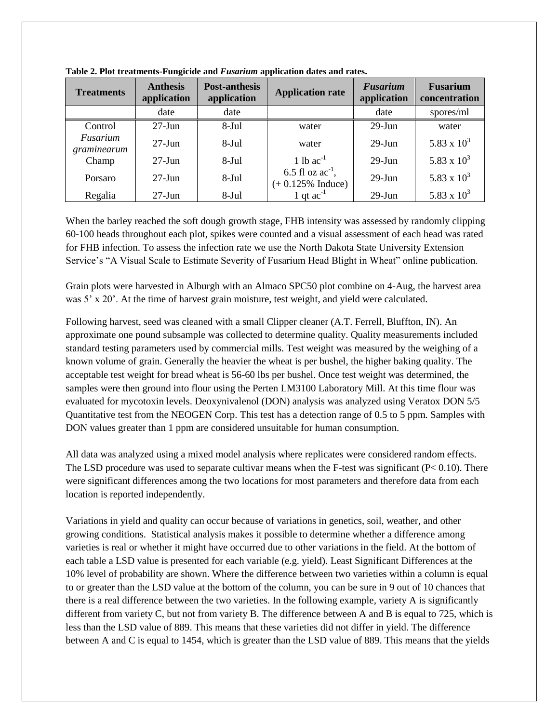| <b>Treatments</b>       | <b>Anthesis</b><br>application | <b>Post-anthesis</b><br>application | <b>Application rate</b>                       | <b>Fusarium</b><br>application | <b>Fusarium</b><br>concentration |
|-------------------------|--------------------------------|-------------------------------------|-----------------------------------------------|--------------------------------|----------------------------------|
|                         | date                           | date                                |                                               | date                           | spores/ml                        |
| Control                 | $27$ -Jun                      | $8-Jul$                             | water                                         | $29$ -Jun                      | water                            |
| Fusarium<br>graminearum | $27$ -Jun                      | 8-Jul                               | water                                         | $29$ -Jun                      | 5.83 x $10^3$                    |
| Champ                   | $27-Jun$                       | 8-Jul                               | 1 lb $ac^{-1}$                                | $29$ -Jun                      | 5.83 x $10^3$                    |
| Porsaro                 | $27-Jun$                       | 8-Jul                               | 6.5 fl oz $ac^{-1}$ ,<br>$(+ 0.125\%$ Induce) | $29$ -Jun                      | 5.83 x $10^3$                    |
| Regalia                 | $27-Jun$                       | 8-Jul                               | 1 qt $ac^{-1}$                                | $29$ -Jun                      | 5.83 x $10^3$                    |

**Table 2. Plot treatments-Fungicide and** *Fusarium* **application dates and rates.**

When the barley reached the soft dough growth stage, FHB intensity was assessed by randomly clipping 60-100 heads throughout each plot, spikes were counted and a visual assessment of each head was rated for FHB infection. To assess the infection rate we use the North Dakota State University Extension Service's "A Visual Scale to Estimate Severity of Fusarium Head Blight in Wheat" online publication.

Grain plots were harvested in Alburgh with an Almaco SPC50 plot combine on 4-Aug, the harvest area was 5' x 20'. At the time of harvest grain moisture, test weight, and yield were calculated.

Following harvest, seed was cleaned with a small Clipper cleaner (A.T. Ferrell, Bluffton, IN). An approximate one pound subsample was collected to determine quality. Quality measurements included standard testing parameters used by commercial mills. Test weight was measured by the weighing of a known volume of grain. Generally the heavier the wheat is per bushel, the higher baking quality. The acceptable test weight for bread wheat is 56-60 lbs per bushel. Once test weight was determined, the samples were then ground into flour using the Perten LM3100 Laboratory Mill. At this time flour was evaluated for mycotoxin levels. Deoxynivalenol (DON) analysis was analyzed using Veratox DON 5/5 Quantitative test from the NEOGEN Corp. This test has a detection range of 0.5 to 5 ppm. Samples with DON values greater than 1 ppm are considered unsuitable for human consumption.

All data was analyzed using a mixed model analysis where replicates were considered random effects. The LSD procedure was used to separate cultivar means when the F-test was significant (P< 0.10). There were significant differences among the two locations for most parameters and therefore data from each location is reported independently.

Variations in yield and quality can occur because of variations in genetics, soil, weather, and other growing conditions. Statistical analysis makes it possible to determine whether a difference among varieties is real or whether it might have occurred due to other variations in the field. At the bottom of each table a LSD value is presented for each variable (e.g. yield). Least Significant Differences at the 10% level of probability are shown. Where the difference between two varieties within a column is equal to or greater than the LSD value at the bottom of the column, you can be sure in 9 out of 10 chances that there is a real difference between the two varieties. In the following example, variety A is significantly different from variety C, but not from variety B. The difference between A and B is equal to 725, which is less than the LSD value of 889. This means that these varieties did not differ in yield. The difference between A and C is equal to 1454, which is greater than the LSD value of 889. This means that the yields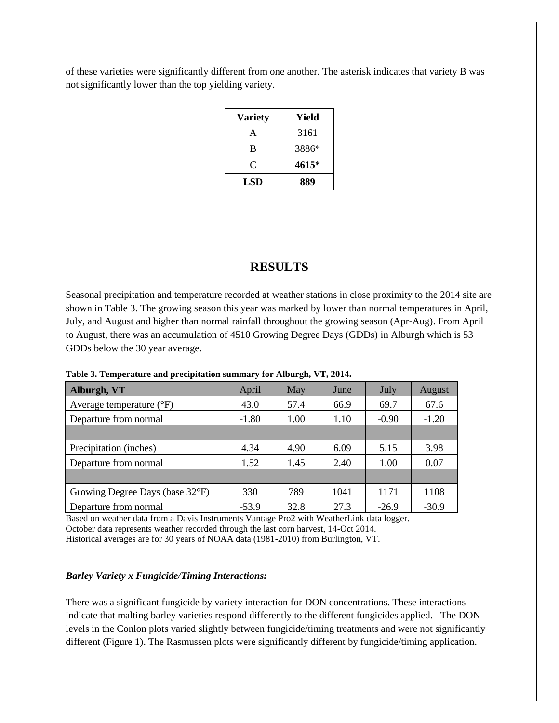of these varieties were significantly different from one another. The asterisk indicates that variety B was not significantly lower than the top yielding variety.

| <b>Variety</b> | Yield |
|----------------|-------|
| A              | 3161  |
| B              | 3886* |
| C              | 4615* |
| LSD            | 889   |

## **RESULTS**

Seasonal precipitation and temperature recorded at weather stations in close proximity to the 2014 site are shown in Table 3. The growing season this year was marked by lower than normal temperatures in April, July, and August and higher than normal rainfall throughout the growing season (Apr-Aug). From April to August, there was an accumulation of 4510 Growing Degree Days (GDDs) in Alburgh which is 53 GDDs below the 30 year average.

| Alburgh, VT                       | April   | May  | June | July    | August  |
|-----------------------------------|---------|------|------|---------|---------|
| Average temperature $(^{\circ}F)$ | 43.0    | 57.4 | 66.9 | 69.7    | 67.6    |
| Departure from normal             | $-1.80$ | 1.00 | 1.10 | $-0.90$ | $-1.20$ |
|                                   |         |      |      |         |         |
| Precipitation (inches)            | 4.34    | 4.90 | 6.09 | 5.15    | 3.98    |
| Departure from normal             | 1.52    | 1.45 | 2.40 | 1.00    | 0.07    |
|                                   |         |      |      |         |         |
| Growing Degree Days (base 32°F)   | 330     | 789  | 1041 | 1171    | 1108    |
| Departure from normal             | $-53.9$ | 32.8 | 27.3 | $-26.9$ | $-30.9$ |

**Table 3. Temperature and precipitation summary for Alburgh, VT, 2014.**

Based on weather data from a Davis Instruments Vantage Pro2 with WeatherLink data logger. October data represents weather recorded through the last corn harvest, 14-Oct 2014.

Historical averages are for 30 years of NOAA data (1981-2010) from Burlington, VT.

#### *Barley Variety x Fungicide/Timing Interactions:*

There was a significant fungicide by variety interaction for DON concentrations. These interactions indicate that malting barley varieties respond differently to the different fungicides applied. The DON levels in the Conlon plots varied slightly between fungicide/timing treatments and were not significantly different (Figure 1). The Rasmussen plots were significantly different by fungicide/timing application.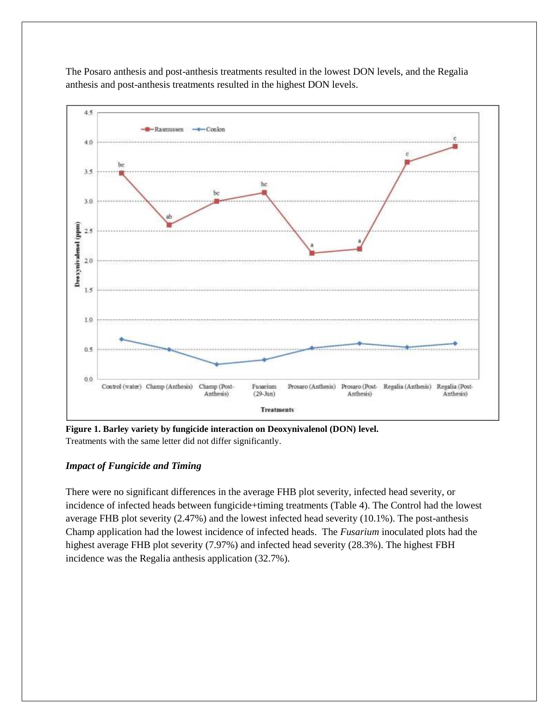The Posaro anthesis and post-anthesis treatments resulted in the lowest DON levels, and the Regalia anthesis and post-anthesis treatments resulted in the highest DON levels.



**Figure 1. Barley variety by fungicide interaction on Deoxynivalenol (DON) level.** Treatments with the same letter did not differ significantly.

#### *Impact of Fungicide and Timing*

There were no significant differences in the average FHB plot severity, infected head severity, or incidence of infected heads between fungicide+timing treatments (Table 4). The Control had the lowest average FHB plot severity (2.47%) and the lowest infected head severity (10.1%). The post-anthesis Champ application had the lowest incidence of infected heads. The *Fusarium* inoculated plots had the highest average FHB plot severity (7.97%) and infected head severity (28.3%). The highest FBH incidence was the Regalia anthesis application (32.7%).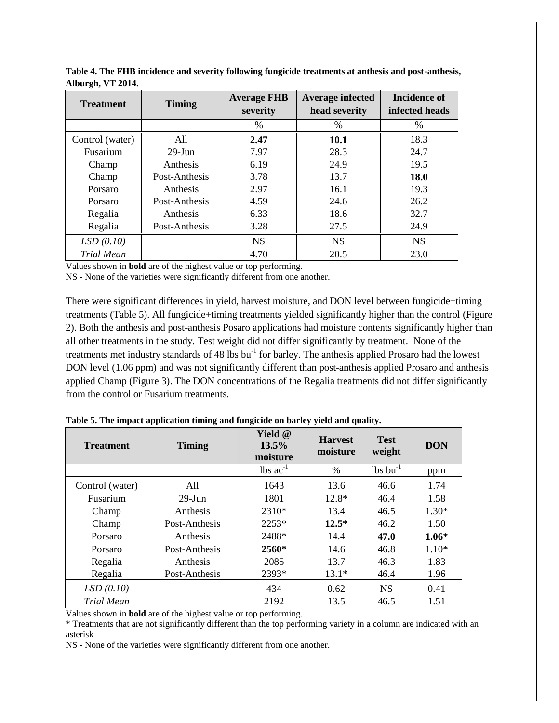| <b>Treatment</b>  | <b>Timing</b> | <b>Average FHB</b><br>severity | <b>Average infected</b><br>head severity | <b>Incidence of</b><br>infected heads |
|-------------------|---------------|--------------------------------|------------------------------------------|---------------------------------------|
|                   |               | $\%$                           | $\%$                                     | %                                     |
| Control (water)   | All           | 2.47                           | 10.1                                     | 18.3                                  |
| Fusarium          | $29$ -Jun     | 7.97                           | 28.3                                     | 24.7                                  |
| Champ             | Anthesis      | 6.19                           | 24.9                                     | 19.5                                  |
| Champ             | Post-Anthesis | 3.78                           | 13.7                                     | <b>18.0</b>                           |
| Porsaro           | Anthesis      | 2.97                           | 16.1                                     | 19.3                                  |
| Porsaro           | Post-Anthesis | 4.59                           | 24.6                                     | 26.2                                  |
| Regalia           | Anthesis      | 6.33                           | 18.6                                     | 32.7                                  |
| Regalia           | Post-Anthesis | 3.28                           | 27.5                                     | 24.9                                  |
| LSD(0.10)         |               | <b>NS</b>                      | <b>NS</b>                                | <b>NS</b>                             |
| <b>Trial Mean</b> |               | 4.70                           | 20.5                                     | 23.0                                  |

**Table 4. The FHB incidence and severity following fungicide treatments at anthesis and post-anthesis, Alburgh, VT 2014.**

Values shown in **bold** are of the highest value or top performing.

NS - None of the varieties were significantly different from one another.

There were significant differences in yield, harvest moisture, and DON level between fungicide+timing treatments (Table 5). All fungicide+timing treatments yielded significantly higher than the control (Figure 2). Both the anthesis and post-anthesis Posaro applications had moisture contents significantly higher than all other treatments in the study. Test weight did not differ significantly by treatment. None of the treatments met industry standards of 48 lbs  $bu^{-1}$  for barley. The anthesis applied Prosaro had the lowest DON level (1.06 ppm) and was not significantly different than post-anthesis applied Prosaro and anthesis applied Champ (Figure 3). The DON concentrations of the Regalia treatments did not differ significantly from the control or Fusarium treatments.

| <b>Treatment</b>  | <b>Timing</b> | Yield $@$<br>13.5%<br>moisture | <b>Harvest</b><br>moisture | <b>Test</b><br>weight         | <b>DON</b> |
|-------------------|---------------|--------------------------------|----------------------------|-------------------------------|------------|
|                   |               | $\text{lbs}$ ac <sup>-1</sup>  | $\frac{0}{0}$              | $\text{lbs}$ bu <sup>-1</sup> | ppm        |
| Control (water)   | All           | 1643                           | 13.6                       | 46.6                          | 1.74       |
| <b>Fusarium</b>   | $29$ -Jun     | 1801                           | $12.8*$                    | 46.4                          | 1.58       |
| Champ             | Anthesis      | 2310*                          | 13.4                       | 46.5                          | $1.30*$    |
| Champ             | Post-Anthesis | $2253*$                        | $12.5*$                    | 46.2                          | 1.50       |
| Porsaro           | Anthesis      | 2488*                          | 14.4                       | 47.0                          | $1.06*$    |
| Porsaro           | Post-Anthesis | 2560*                          | 14.6                       | 46.8                          | $1.10*$    |
| Regalia           | Anthesis      | 2085                           | 13.7                       | 46.3                          | 1.83       |
| Regalia           | Post-Anthesis | 2393*                          | $13.1*$                    | 46.4                          | 1.96       |
| LSD(0.10)         |               | 434                            | 0.62                       | <b>NS</b>                     | 0.41       |
| <b>Trial Mean</b> |               | 2192                           | 13.5                       | 46.5                          | 1.51       |

**Table 5. The impact application timing and fungicide on barley yield and quality.**

Values shown in **bold** are of the highest value or top performing.

\* Treatments that are not significantly different than the top performing variety in a column are indicated with an asterisk

NS - None of the varieties were significantly different from one another.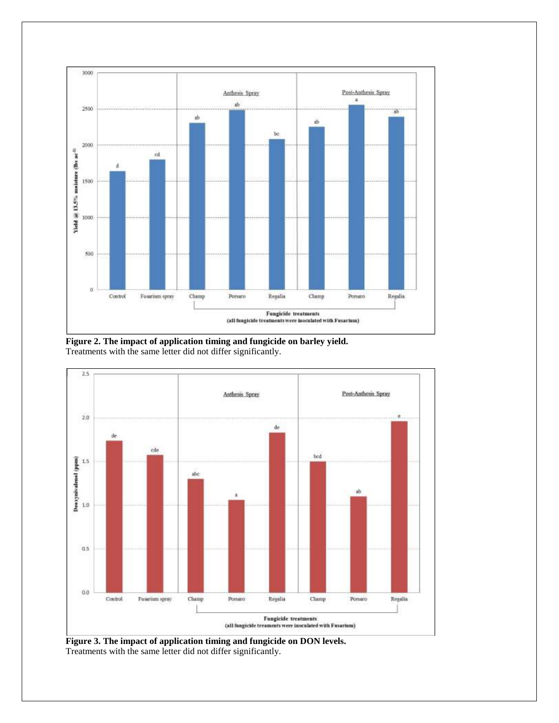

**Figure 2. The impact of application timing and fungicide on barley yield.** Treatments with the same letter did not differ significantly.



**Figure 3. The impact of application timing and fungicide on DON levels.** Treatments with the same letter did not differ significantly.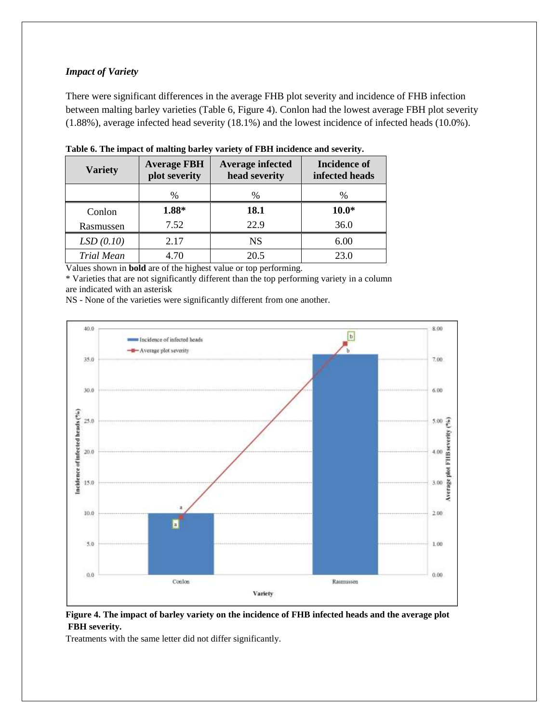#### *Impact of Variety*

There were significant differences in the average FHB plot severity and incidence of FHB infection between malting barley varieties (Table 6, Figure 4). Conlon had the lowest average FBH plot severity (1.88%), average infected head severity (18.1%) and the lowest incidence of infected heads (10.0%).

| <b>Variety</b>    | <b>Average FBH</b><br>plot severity | <b>Average infected</b><br>head severity | <b>Incidence of</b><br>infected heads |
|-------------------|-------------------------------------|------------------------------------------|---------------------------------------|
|                   | %                                   | %                                        | $\%$                                  |
| Conlon            | 1.88*                               | 18.1                                     | $10.0*$                               |
| Rasmussen         | 7.52                                | 22.9                                     | 36.0                                  |
| LSD(0.10)         | 2.17                                | <b>NS</b>                                | 6.00                                  |
| <b>Trial Mean</b> | 4.70                                | 20.5                                     | 23.0                                  |

**Table 6. The impact of malting barley variety of FBH incidence and severity.**

Values shown in **bold** are of the highest value or top performing.

\* Varieties that are not significantly different than the top performing variety in a column are indicated with an asterisk

NS - None of the varieties were significantly different from one another.



**Figure 4. The impact of barley variety on the incidence of FHB infected heads and the average plot FBH severity.**

Treatments with the same letter did not differ significantly.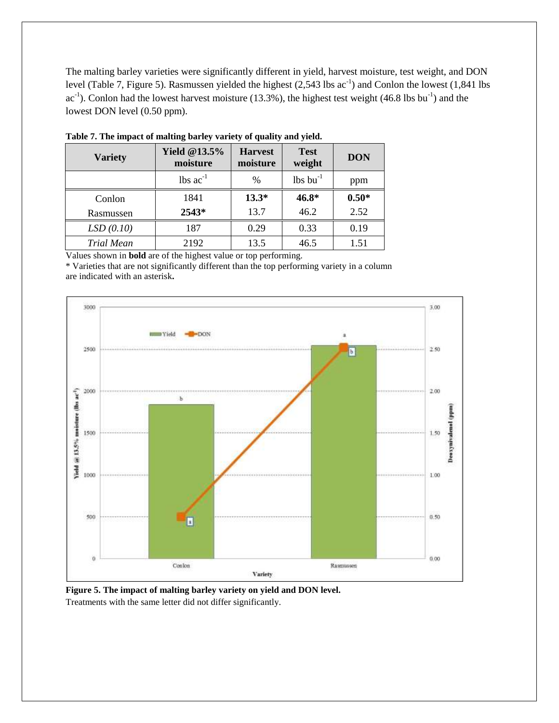The malting barley varieties were significantly different in yield, harvest moisture, test weight, and DON level (Table 7, Figure 5). Rasmussen yielded the highest  $(2,543 \text{ lbs } ac^{-1})$  and Conlon the lowest  $(1,841 \text{ lbs }$  $ac^{-1}$ ). Conlon had the lowest harvest moisture (13.3%), the highest test weight (46.8 lbs bu<sup>-1</sup>) and the lowest DON level (0.50 ppm).

| <b>Variety</b>    | <b>Yield @13.5%</b><br>moisture | <b>Harvest</b><br>moisture | <b>Test</b><br>weight  | <b>DON</b> |
|-------------------|---------------------------------|----------------------------|------------------------|------------|
|                   | $\text{lbs}$ ac <sup>-1</sup>   | $\frac{0}{0}$              | $lbs$ bu <sup>-1</sup> | ppm        |
| Conlon            | 1841                            | $13.3*$                    | $46.8*$                | $0.50*$    |
| Rasmussen         | 2543*                           | 13.7                       | 46.2                   | 2.52       |
| LSD(0.10)         | 187                             | 0.29                       | 0.33                   | 0.19       |
| <b>Trial Mean</b> | 2192                            | 13.5                       | 46.5                   | 1.51       |

**Table 7. The impact of malting barley variety of quality and yield.**

Values shown in **bold** are of the highest value or top performing.

\* Varieties that are not significantly different than the top performing variety in a column are indicated with an asterisk**.**



**Figure 5. The impact of malting barley variety on yield and DON level.** Treatments with the same letter did not differ significantly.